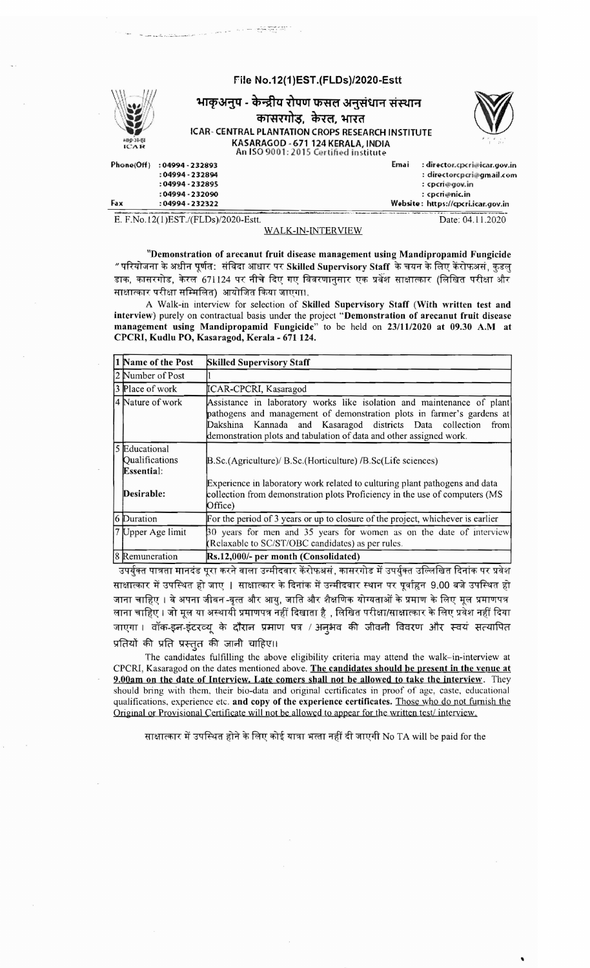

E. F.No.12( 1)EST./(FLDs)/2020-Estt. Date : 04.11.2020

## WALK-IN-INTERVIEW

"Demonstration of arecanut fruit disease management using Mandipropamid Fungicide  $"$ परियोजना के अधीन पूर्णत: संविदा आधार पर Skilled Supervisory Staff के चयन के लिए केंरोफअसं, कुडलु डाक, कासरगोड, केरल 671124 पर नीचे दिए गए विवरणानसार एक प्रवेश साक्षात्कार (लिखित परीक्षा और साक्षात्कार परीक्षा सम्मिलित) आयोजित किया जाएगा।.

A Walk-in interview for selection of Skilled Supervisory Staff (With written test and interview) purely on contractual basis under the project "Demonstration of arecanut fruit disease management using Mandipropamid Fungicide" to be held on 23/1112020 at 09.30 A.M at CPCRI, Kudlu PO, Kasaragod, Kerala - 671 124.

| 1 Name of the Post                            | <b>Skilled Supervisory Staff</b>                                                                                                                                                                                                                                                            |
|-----------------------------------------------|---------------------------------------------------------------------------------------------------------------------------------------------------------------------------------------------------------------------------------------------------------------------------------------------|
| 2 Number of Post                              |                                                                                                                                                                                                                                                                                             |
| 3 Place of work                               | ICAR-CPCRI, Kasaragod                                                                                                                                                                                                                                                                       |
| 4 Nature of work                              | Assistance in laboratory works like isolation and maintenance of plant<br>pathogens and management of demonstration plots in farmer's gardens at<br>Dakshina Kannada and Kasaragod districts Data collection<br>from<br>demonstration plots and tabulation of data and other assigned work. |
| 5 Educational<br>Qualifications<br>Essential: | B.Sc.(Agriculture)/ B.Sc.(Horticulture) / B.Sc(Life sciences)                                                                                                                                                                                                                               |
| Desirable:                                    | Experience in laboratory work related to culturing plant pathogens and data<br>collection from demonstration plots Proficiency in the use of computers (MS<br>Office)                                                                                                                       |
| 6 Duration                                    | For the period of 3 years or up to closure of the project, whichever is earlier                                                                                                                                                                                                             |
| 7 Upper Age limit                             | 30 years for men and 35 years for women as on the date of interview<br>(Relaxable to SC/ST/OBC candidates) as per rules.                                                                                                                                                                    |
| 8 Remuneration                                | Rs.12,000/- per month (Consolidated)                                                                                                                                                                                                                                                        |

उपर्युक्त पात्रता मानदंड पूरा करने वाला उन्मीदवार केंरोफअसं, कासरगोड में उपर्युक्त उल्लिखित दिनांक पर प्रवेश साक्षात्कार में उपस्थित हो जाए | साक्षात्कार के दिनांक में उन्मीदवार स्थान पर पूर्वाहृन 9.00 बजे उपस्थित हो जाना चाहिए । वे अपना जीवन -वृत्त और आयु, जाति और शैक्षणिक योग्यताओं के प्रमाण के लिए मूल प्रमाणपत्र लाना चाहिए । जो मूल या अस्थायी प्रमाणपत्र नहीं दिखाता है , लिखित परीक्षा/साक्षात्कार के लिए प्रवेश नहीं दिया जाएगा। वॉक-इन-इंटरव्यू के दौरान प्रमाण पत्र / अन्4मव की जीवनी विवरण और स्वयं सत्यापित प्रतियों की प्रति प्रस्तुत की जानी चाहिए।।

The candidates fulfilling the above eligibility criteria may attend the walk-in-interview at CPCRI, Kasaragod on the dates mentioned above. The candidates should be present in the venue at 9.00am on the date of Interview. Late comers shall not be allowed to take the interview. They should bring with them. their bio-data and original certificates in proof of age, caste. educational qualifications, experience etc. and copy of the experience certificates. Those who do not furnish the Original or Provisional Certificate will not be allowed to appear for the written test/interview.

साक्षात्कार में उपस्थित होने के लिए कोई यात्रा भत्ता नहीं दी जाएगी No TA will be paid for the